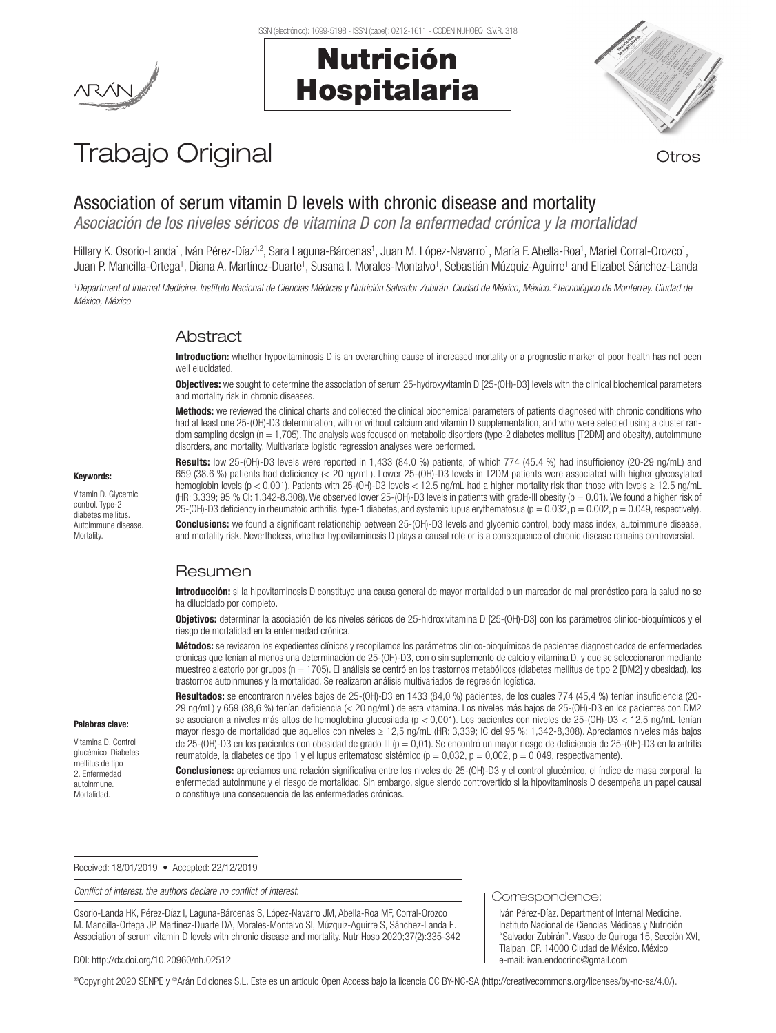# Nutrición Hospitalaria



# Trabajo Original **Trabajo Original**

Association of serum vitamin D levels with chronic disease and mortality

*Asociación de los niveles séricos de vitamina D con la enfermedad crónica y la mortalidad*

Hillary K. Osorio-Landa<sup>1</sup>, Iván Pérez-Díaz<sup>1,2</sup>, Sara Laguna-Bárcenas<sup>1</sup>, Juan M. López-Navarro<sup>1</sup>, María F. Abella-Roa<sup>1</sup>, Mariel Corral-Orozco<sup>1</sup>, Juan P. Mancilla-Ortega<sup>1</sup>, Diana A. Martínez-Duarte<sup>1</sup>, Susana I. Morales-Montalvo<sup>1</sup>, Sebastián Múzquiz-Aguirre<sup>1</sup> and Elizabet Sánchez-Landa<sup>1</sup>

*1 Department of Internal Medicine. Instituto Nacional de Ciencias Médicas y Nutrición Salvador Zubirán. Ciudad de México, México. 2 Tecnológico de Monterrey. Ciudad de México, México*

## Abstract

Introduction: whether hypovitaminosis D is an overarching cause of increased mortality or a prognostic marker of poor health has not been well elucidated.

Objectives: we sought to determine the association of serum 25-hydroxyvitamin D [25-(OH)-D3] levels with the clinical biochemical parameters and mortality risk in chronic diseases.

Methods: we reviewed the clinical charts and collected the clinical biochemical parameters of patients diagnosed with chronic conditions who had at least one 25-(OH)-D3 determination, with or without calcium and vitamin D supplementation, and who were selected using a cluster random sampling design (n = 1,705). The analysis was focused on metabolic disorders (type-2 diabetes mellitus [T2DM] and obesity), autoimmune disorders, and mortality. Multivariate logistic regression analyses were performed.

Results: low 25-(OH)-D3 levels were reported in 1,433 (84.0 %) patients, of which 774 (45.4 %) had insufficiency (20-29 ng/mL) and 659 (38.6 %) patients had deficiency (< 20 ng/mL). Lower 25-(OH)-D3 levels in T2DM patients were associated with higher glycosylated hemoglobin levels (p < 0.001). Patients with 25-(OH)-D3 levels < 12.5 ng/mL had a higher mortality risk than those with levels ≥ 12.5 ng/mL (HR: 3.339; 95 % CI: 1.342-8.308). We observed lower 25-(OH)-D3 levels in patients with grade-III obesity (p = 0.01). We found a higher risk of 25-(OH)-D3 deficiency in rheumatoid arthritis, type-1 diabetes, and systemic lupus erythematosus ( $p = 0.032$ ,  $p = 0.002$ ,  $p = 0.049$ , respectively).

**Conclusions:** we found a significant relationship between 25-(OH)-D3 levels and glycemic control, body mass index, autoimmune disease. and mortality risk. Nevertheless, whether hypovitaminosis D plays a causal role or is a consequence of chronic disease remains controversial.

## Resumen

Introducción: si la hipovitaminosis D constituye una causa general de mayor mortalidad o un marcador de mal pronóstico para la salud no se ha dilucidado por completo.

Objetivos: determinar la asociación de los niveles séricos de 25-hidroxivitamina D [25-(OH)-D3] con los parámetros clínico-bioquímicos y el riesgo de mortalidad en la enfermedad crónica.

Métodos: se revisaron los expedientes clínicos y recopilamos los parámetros clínico-bioquímicos de pacientes diagnosticados de enfermedades crónicas que tenían al menos una determinación de 25-(OH)-D3, con o sin suplemento de calcio y vitamina D, y que se seleccionaron mediante muestreo aleatorio por grupos (n = 1705). El análisis se centró en los trastornos metabólicos (diabetes mellitus de tipo 2 [DM2] y obesidad), los trastornos autoinmunes y la mortalidad. Se realizaron análisis multivariados de regresión logística.

Resultados: se encontraron niveles bajos de 25-(OH)-D3 en 1433 (84,0 %) pacientes, de los cuales 774 (45,4 %) tenían insuficiencia (20-29 ng/mL) y 659 (38,6 %) tenían deficiencia (< 20 ng/mL) de esta vitamina. Los niveles más bajos de 25-(OH)-D3 en los pacientes con DM2 se asociaron a niveles más altos de hemoglobina glucosilada (p *<* 0,001). Los pacientes con niveles de 25-(OH)-D3 < 12,5 ng/mL tenían mayor riesgo de mortalidad que aquellos con niveles ≥ 12,5 ng/mL (HR: 3,339; IC del 95 %: 1,342-8,308). Apreciamos niveles más bajos de 25-(OH)-D3 en los pacientes con obesidad de grado III (p = 0,01). Se encontró un mayor riesgo de deficiencia de 25-(OH)-D3 en la artritis reumatoide, la diabetes de tipo 1 y el lupus eritematoso sistémico ( $p = 0.032$ ,  $p = 0.002$ ,  $p = 0.049$ , respectivamente).

Conclusiones: apreciamos una relación significativa entre los niveles de 25-(OH)-D3 y el control glucémico, el índice de masa corporal, la enfermedad autoinmune y el riesgo de mortalidad. Sin embargo, sigue siendo controvertido si la hipovitaminosis D desempeña un papel causal o constituye una consecuencia de las enfermedades crónicas.

Correspondence:

Iván Pérez-Díaz. Department of Internal Medicine. Instituto Nacional de Ciencias Médicas y Nutrición "Salvador Zubirán". Vasco de Quiroga 15, Sección XVI, Tlalpan. CP. 14000 Ciudad de México. México e-mail: ivan.endocrino@gmail.com

Received: 18/01/2019 • Accepted: 22/12/2019

*Conflict of interest: the authors declare no conflict of interest.*

Osorio-Landa HK, Pérez-Díaz I, Laguna-Bárcenas S, López-Navarro JM, Abella-Roa MF, Corral-Orozco M. Mancilla-Ortega JP, Martínez-Duarte DA, Morales-Montalvo SI, Múzquiz-Aguirre S, Sánchez-Landa E. Association of serum vitamin D levels with chronic disease and mortality. Nutr Hosp 2020;37(2):335-342

#### DOI: http://dx.doi.org/10.20960/nh.02512

©Copyright 2020 SENPE y ©Arán Ediciones S.L. Este es un artículo Open Access bajo la licencia CC BY-NC-SA (http://creativecommons.org/licenses/by-nc-sa/4.0/).

Vitamin D. Glycemic control. Type-2 diabetes mellitus.

Palabras clave: Vitamina D. Control glucémico. Diabetes mellitus de tipo 2. Enfermedad autoinmune. Mortalidad.

Keywords:

Autoimmune disease. Mortality.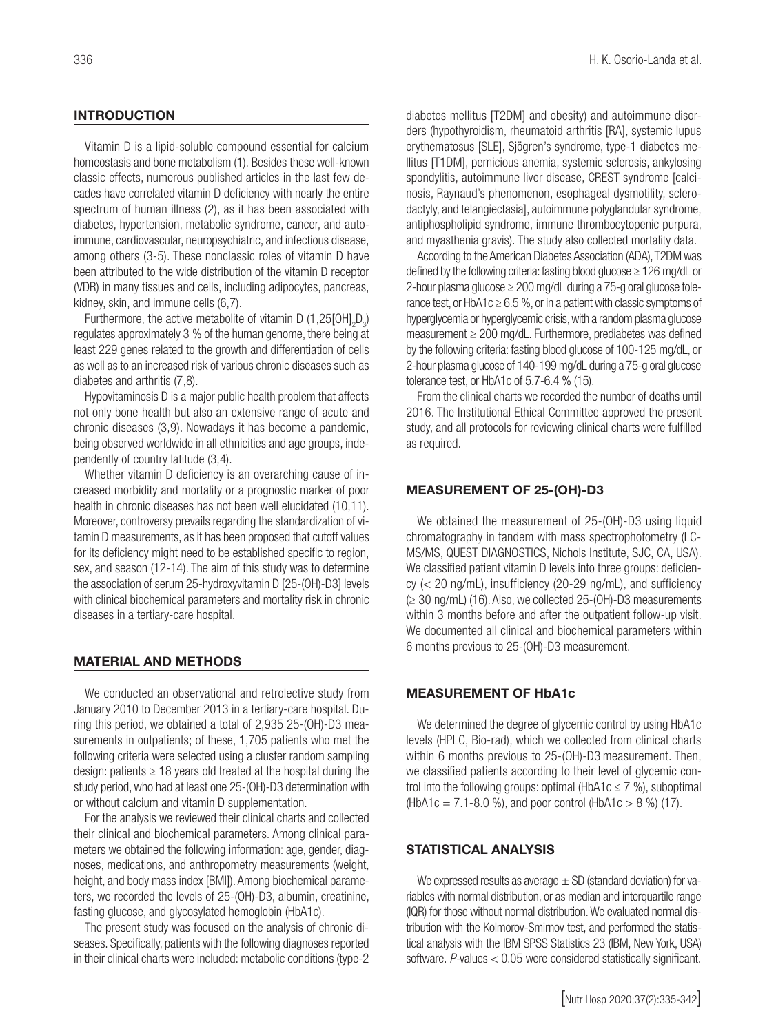Vitamin D is a lipid-soluble compound essential for calcium homeostasis and bone metabolism (1). Besides these well-known classic effects, numerous published articles in the last few decades have correlated vitamin D deficiency with nearly the entire spectrum of human illness (2), as it has been associated with diabetes, hypertension, metabolic syndrome, cancer, and autoimmune, cardiovascular, neuropsychiatric, and infectious disease, among others (3-5). These nonclassic roles of vitamin D have been attributed to the wide distribution of the vitamin D receptor (VDR) in many tissues and cells, including adipocytes, pancreas, kidney, skin, and immune cells (6,7).

Furthermore, the active metabolite of vitamin D (1,25 $[OH]_2D_3$ ) regulates approximately 3 % of the human genome, there being at least 229 genes related to the growth and differentiation of cells as well as to an increased risk of various chronic diseases such as diabetes and arthritis (7,8).

Hypovitaminosis D is a major public health problem that affects not only bone health but also an extensive range of acute and chronic diseases (3,9). Nowadays it has become a pandemic, being observed worldwide in all ethnicities and age groups, independently of country latitude (3,4).

Whether vitamin D deficiency is an overarching cause of increased morbidity and mortality or a prognostic marker of poor health in chronic diseases has not been well elucidated (10,11). Moreover, controversy prevails regarding the standardization of vitamin D measurements, as it has been proposed that cutoff values for its deficiency might need to be established specific to region, sex, and season (12-14). The aim of this study was to determine the association of serum 25-hydroxyvitamin D [25-(OH)-D3] levels with clinical biochemical parameters and mortality risk in chronic diseases in a tertiary-care hospital.

## MATERIAL AND METHODS

We conducted an observational and retrolective study from January 2010 to December 2013 in a tertiary-care hospital. During this period, we obtained a total of 2,935 25-(OH)-D3 measurements in outpatients; of these, 1,705 patients who met the following criteria were selected using a cluster random sampling design: patients  $\geq 18$  years old treated at the hospital during the study period, who had at least one 25-(OH)-D3 determination with or without calcium and vitamin D supplementation.

For the analysis we reviewed their clinical charts and collected their clinical and biochemical parameters. Among clinical parameters we obtained the following information: age, gender, diagnoses, medications, and anthropometry measurements (weight, height, and body mass index [BMI]). Among biochemical parameters, we recorded the levels of 25-(OH)-D3, albumin, creatinine, fasting glucose, and glycosylated hemoglobin (HbA1c).

The present study was focused on the analysis of chronic diseases. Specifically, patients with the following diagnoses reported in their clinical charts were included: metabolic conditions (type-2 diabetes mellitus [T2DM] and obesity) and autoimmune disorders (hypothyroidism, rheumatoid arthritis [RA], systemic lupus erythematosus [SLE], Sjögren's syndrome, type-1 diabetes mellitus [T1DM], pernicious anemia, systemic sclerosis, ankylosing spondylitis, autoimmune liver disease, CREST syndrome [calcinosis, Raynaud's phenomenon, esophageal dysmotility, sclerodactyly, and telangiectasia], autoimmune polyglandular syndrome, antiphospholipid syndrome, immune thrombocytopenic purpura, and myasthenia gravis). The study also collected mortality data.

According to the American Diabetes Association (ADA), T2DM was defined by the following criteria: fasting blood glucose ≥ 126 mg/dL or 2-hour plasma glucose  $\geq 200$  mg/dL during a 75-g oral glucose tolerance test, or HbA1c  $\geq$  6.5 %, or in a patient with classic symptoms of hyperglycemia or hyperglycemic crisis, with a random plasma glucose measurement ≥ 200 mg/dL. Furthermore, prediabetes was defined by the following criteria: fasting blood glucose of 100-125 mg/dL, or 2-hour plasma glucose of 140-199 mg/dL during a 75-g oral glucose tolerance test, or HbA1c of 5.7-6.4 % (15).

From the clinical charts we recorded the number of deaths until 2016. The Institutional Ethical Committee approved the present study, and all protocols for reviewing clinical charts were fulfilled as required.

## MEASUREMENT OF 25-(OH)-D3

We obtained the measurement of 25-(OH)-D3 using liquid chromatography in tandem with mass spectrophotometry (LC-MS/MS, QUEST DIAGNOSTICS, Nichols Institute, SJC, CA, USA). We classified patient vitamin D levels into three groups: deficiency (< 20 ng/mL), insufficiency (20-29 ng/mL), and sufficiency (≥ 30 ng/mL) (16). Also, we collected 25-(OH)-D3 measurements within 3 months before and after the outpatient follow-up visit. We documented all clinical and biochemical parameters within 6 months previous to 25-(OH)-D3 measurement.

## MEASUREMENT OF HbA1c

We determined the degree of glycemic control by using HbA1c levels (HPLC, Bio-rad), which we collected from clinical charts within 6 months previous to 25-(OH)-D3 measurement. Then, we classified patients according to their level of glycemic control into the following groups: optimal (HbA1c  $\leq$  7 %), suboptimal  $(HbA1c = 7.1-8.0 \%)$ , and poor control (HbA1c > 8 %) (17).

## STATISTICAL ANALYSIS

We expressed results as average  $\pm$  SD (standard deviation) for variables with normal distribution, or as median and interquartile range (IQR) for those without normal distribution. We evaluated normal distribution with the Kolmorov-Smirnov test, and performed the statistical analysis with the IBM SPSS Statistics 23 (IBM, New York, USA) software. *P-*values < 0.05 were considered statistically significant.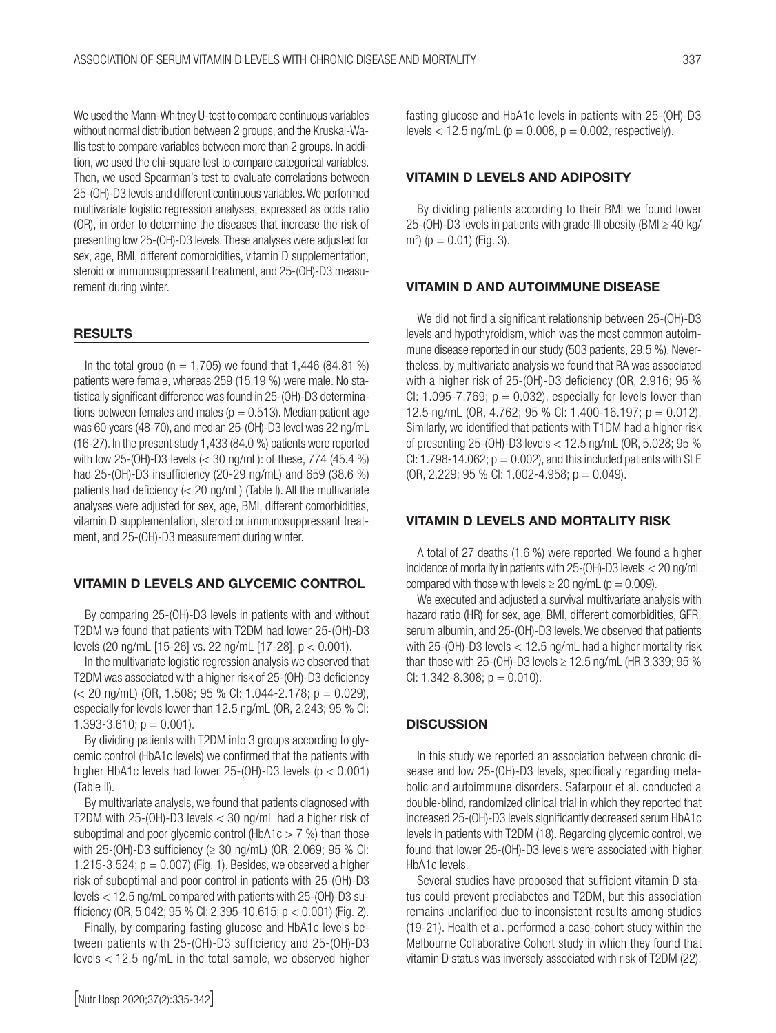We used the Mann-Whitney U-test to compare continuous variables without normal distribution between 2 groups, and the Kruskal-Wallis test to compare variables between more than 2 groups. In addition, we used the chi-square test to compare categorical variables. Then, we used Spearman's test to evaluate correlations between 25-(OH)-D3 levels and different continuous variables. We performed multivariate logistic regression analyses, expressed as odds ratio (OR), in order to determine the diseases that increase the risk of presenting low 25-(OH)-D3 levels. These analyses were adjusted for sex, age, BMI, different comorbidities, vitamin D supplementation, steroid or immunosuppressant treatment, and 25-(OH)-D3 measurement during winter.

#### RESULTS

In the total group ( $n = 1,705$ ) we found that 1,446 (84.81 %) patients were female, whereas 259 (15.19 %) were male. No statistically significant difference was found in 25-(OH)-D3 determinations between females and males ( $p = 0.513$ ). Median patient age was 60 years (48-70), and median 25-(OH)-D3 level was 22 ng/mL (16-27). In the present study 1,433 (84.0 %) patients were reported with low 25-(OH)-D3 levels (< 30 ng/mL): of these, 774 (45.4 %) had 25-(OH)-D3 insufficiency (20-29 ng/mL) and 659 (38.6 %) patients had deficiency (< 20 ng/mL) (Table I). All the multivariate analyses were adjusted for sex, age, BMI, different comorbidities, vitamin D supplementation, steroid or immunosuppressant treatment, and 25-(OH)-D3 measurement during winter.

### VITAMIN D LEVELS AND GLYCEMIC CONTROL

By comparing 25-(OH)-D3 levels in patients with and without T2DM we found that patients with T2DM had lower 25-(OH)-D3 levels (20 ng/mL [15-26] vs. 22 ng/mL [17-28], p < 0.001).

In the multivariate logistic regression analysis we observed that T2DM was associated with a higher risk of 25-(OH)-D3 deficiency  $\approx$  20 ng/mL) (OR, 1.508; 95 % CI: 1.044-2.178; p = 0.029), especially for levels lower than 12.5 ng/mL (OR, 2.243; 95 % CI: 1.393-3.610;  $p = 0.001$ ).

By dividing patients with T2DM into 3 groups according to glycemic control (HbA1c levels) we confirmed that the patients with higher HbA1c levels had lower 25-(OH)-D3 levels (p < 0.001) (Table II).

By multivariate analysis, we found that patients diagnosed with T2DM with 25-(OH)-D3 levels < 30 ng/mL had a higher risk of suboptimal and poor glycemic control (HbA1c  $>$  7 %) than those with 25-(OH)-D3 sufficiency ( $\geq$  30 ng/mL) (OR, 2.069; 95 % CI: 1.215-3.524;  $p = 0.007$  (Fig. 1). Besides, we observed a higher risk of suboptimal and poor control in patients with 25-(OH)-D3 levels < 12.5 ng/mL compared with patients with 25-(OH)-D3 sufficiency (OR, 5.042; 95 % CI: 2.395-10.615;  $p < 0.001$ ) (Fig. 2).

Finally, by comparing fasting glucose and HbA1c levels between patients with 25-(OH)-D3 sufficiency and 25-(OH)-D3 levels < 12.5 ng/mL in the total sample, we observed higher fasting glucose and HbA1c levels in patients with 25-(OH)-D3 levels  $<$  12.5 ng/mL ( $p = 0.008$ ,  $p = 0.002$ , respectively).

### VITAMIN D LEVELS AND ADIPOSITY

By dividing patients according to their BMI we found lower 25-(OH)-D3 levels in patients with grade-III obesity (BMI  $\geq$  40 kg/ m<sup>2</sup>) ( $p = 0.01$ ) (Fig. 3).

### VITAMIN D AND AUTOIMMUNE DISEASE

We did not find a significant relationship between 25-(OH)-D3 levels and hypothyroidism, which was the most common autoimmune disease reported in our study (503 patients, 29.5 %). Nevertheless, by multivariate analysis we found that RA was associated with a higher risk of 25-(OH)-D3 deficiency (OR, 2.916; 95 % CI: 1.095-7.769;  $p = 0.032$ ), especially for levels lower than 12.5 ng/mL (OR, 4.762; 95 % CI: 1.400-16.197; p = 0.012). Similarly, we identified that patients with T1DM had a higher risk of presenting 25-(OH)-D3 levels < 12.5 ng/mL (OR, 5.028; 95 % CI: 1.798-14.062;  $p = 0.002$ ), and this included patients with SLE  $(OR, 2.229; 95\% CI: 1.002-4.958; p = 0.049).$ 

## VITAMIN D LEVELS AND MORTALITY RISK

A total of 27 deaths (1.6 %) were reported. We found a higher incidence of mortality in patients with 25-(OH)-D3 levels < 20 ng/mL compared with those with levels  $\geq$  20 ng/mL (p = 0.009).

We executed and adjusted a survival multivariate analysis with hazard ratio (HR) for sex, age, BMI, different comorbidities, GFR, serum albumin, and 25-(OH)-D3 levels. We observed that patients with 25-(OH)-D3 levels < 12.5 ng/mL had a higher mortality risk than those with 25-(OH)-D3 levels ≥ 12.5 ng/mL (HR 3.339; 95 % CI:  $1.342 - 8.308$ ;  $p = 0.010$ ).

### **DISCUSSION**

In this study we reported an association between chronic disease and low 25-(OH)-D3 levels, specifically regarding metabolic and autoimmune disorders. Safarpour et al. conducted a double-blind, randomized clinical trial in which they reported that increased 25-(OH)-D3 levels significantly decreased serum HbA1c levels in patients with T2DM (18). Regarding glycemic control, we found that lower 25-(OH)-D3 levels were associated with higher HbA1c levels.

Several studies have proposed that sufficient vitamin D status could prevent prediabetes and T2DM, but this association remains unclarified due to inconsistent results among studies (19-21). Health et al. performed a case-cohort study within the Melbourne Collaborative Cohort study in which they found that vitamin D status was inversely associated with risk of T2DM (22).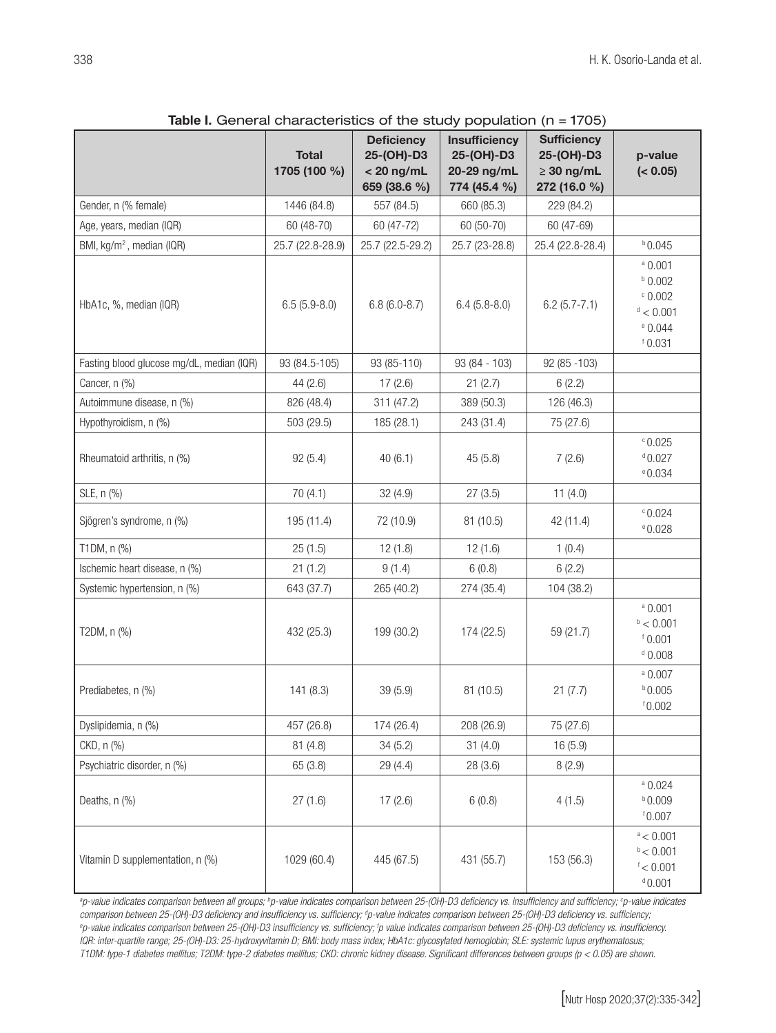| $\frac{1}{2}$ and $\frac{1}{2}$ is the contract of the study population (i) $\frac{1}{2}$ is 1700) |                              |                                                                 |                                                                   |                                                                     |                                                                               |  |  |  |
|----------------------------------------------------------------------------------------------------|------------------------------|-----------------------------------------------------------------|-------------------------------------------------------------------|---------------------------------------------------------------------|-------------------------------------------------------------------------------|--|--|--|
|                                                                                                    | <b>Total</b><br>1705 (100 %) | <b>Deficiency</b><br>25-(OH)-D3<br>$< 20$ ng/mL<br>659 (38.6 %) | <b>Insufficiency</b><br>25-(OH)-D3<br>20-29 ng/mL<br>774 (45.4 %) | <b>Sufficiency</b><br>25-(OH)-D3<br>$\geq 30$ ng/mL<br>272 (16.0 %) | p-value<br>(< 0.05)                                                           |  |  |  |
| Gender, n (% female)                                                                               | 1446 (84.8)                  | 557 (84.5)                                                      | 660 (85.3)                                                        | 229 (84.2)                                                          |                                                                               |  |  |  |
| Age, years, median (IQR)                                                                           | 60 (48-70)                   | 60 (47-72)                                                      | 60 (50-70)                                                        | 60 (47-69)                                                          |                                                                               |  |  |  |
| BMI, kg/m <sup>2</sup> , median (IQR)                                                              | 25.7 (22.8-28.9)             | 25.7 (22.5-29.2)                                                | 25.7 (23-28.8)                                                    | 25.4 (22.8-28.4)                                                    | $b$ 0.045                                                                     |  |  |  |
| HbA1c, %, median (IQR)                                                                             | $6.5(5.9-8.0)$               | $6.8(6.0-8.7)$                                                  | $6.4(5.8-8.0)$                                                    | $6.2(5.7 - 7.1)$                                                    | $a$ 0.001<br>$b$ 0.002<br>$\degree$ 0.002<br>d < 0.001<br>$e$ 0.044<br>10.031 |  |  |  |
| Fasting blood glucose mg/dL, median (IQR)                                                          | 93 (84.5-105)                | 93 (85-110)                                                     | 93 (84 - 103)                                                     | 92 (85 - 103)                                                       |                                                                               |  |  |  |
| Cancer, n (%)                                                                                      | 44(2.6)                      | 17(2.6)                                                         | 21(2.7)                                                           | 6(2.2)                                                              |                                                                               |  |  |  |
| Autoimmune disease, n (%)                                                                          | 826 (48.4)                   | 311 (47.2)                                                      | 389 (50.3)                                                        | 126 (46.3)                                                          |                                                                               |  |  |  |
| Hypothyroidism, n (%)                                                                              | 503 (29.5)                   | 185 (28.1)                                                      | 243 (31.4)                                                        | 75 (27.6)                                                           |                                                                               |  |  |  |
| Rheumatoid arthritis, n (%)                                                                        | 92(5.4)                      | 40(6.1)                                                         | 45(5.8)                                                           | 7(2.6)                                                              | °0.025<br>$d$ 0.027<br>$e$ 0.034                                              |  |  |  |
| SLE, n (%)                                                                                         | 70(4.1)                      | 32 (4.9)                                                        | 27(3.5)                                                           | 11(4.0)                                                             |                                                                               |  |  |  |
| Sjögren's syndrome, n (%)                                                                          | 195 (11.4)                   | 72 (10.9)                                                       | 81 (10.5)                                                         | 42 (11.4)                                                           | °0.024<br>$e$ 0.028                                                           |  |  |  |
| T1DM, n (%)                                                                                        | 25(1.5)                      | 12(1.8)                                                         | 12(1.6)                                                           | 1(0.4)                                                              |                                                                               |  |  |  |
| Ischemic heart disease, n (%)                                                                      | 21(1.2)                      | 9(1.4)                                                          | 6(0.8)                                                            | 6(2.2)                                                              |                                                                               |  |  |  |
| Systemic hypertension, n (%)                                                                       | 643 (37.7)                   | 265 (40.2)                                                      | 274 (35.4)                                                        | 104 (38.2)                                                          |                                                                               |  |  |  |
| T2DM, n (%)                                                                                        | 432 (25.3)                   | 199 (30.2)                                                      | 174 (22.5)                                                        | 59 (21.7)                                                           | $a$ 0.001<br>$\rm{^{b}}$ < 0.001<br>10.001<br>$d$ 0.008                       |  |  |  |
| Prediabetes, n (%)                                                                                 | 141(8.3)                     | 39(5.9)                                                         | 81 (10.5)                                                         | 21(7.7)                                                             | $a$ 0.007<br>$b$ 0.005<br>10.002                                              |  |  |  |
| Dyslipidemia, n (%)                                                                                | 457 (26.8)                   | 174 (26.4)                                                      | 208 (26.9)                                                        | 75 (27.6)                                                           |                                                                               |  |  |  |
| CKD, n (%)                                                                                         | 81(4.8)                      | 34(5.2)                                                         | 31(4.0)                                                           | 16 (5.9)                                                            |                                                                               |  |  |  |
| Psychiatric disorder, n (%)                                                                        | 65 (3.8)                     | 29 (4.4)                                                        | 28(3.6)                                                           | 8(2.9)                                                              |                                                                               |  |  |  |
| Deaths, n (%)                                                                                      | 27(1.6)                      | 17(2.6)                                                         | 6(0.8)                                                            | 4(1.5)                                                              | $a$ 0.024<br>$b$ 0.009<br>10.007                                              |  |  |  |
| Vitamin D supplementation, n (%)                                                                   | 1029 (60.4)                  | 445 (67.5)                                                      | 431 (55.7)                                                        | 153 (56.3)                                                          | a < 0.001<br>b < 0.001<br>$\frac{1}{2} < 0.001$<br>0.001                      |  |  |  |

Table I. General characteristics of the study population  $(n = 1705)$ 

*a p-value indicates comparison between all groups; b p-value indicates comparison between 25-(OH)-D3 deficiency vs. insufficiency and sufficiency; c p-value indicates*  comparison between 25-(OH)-D3 deficiency and insufficiency vs. sufficiency; <sup>a</sup>p-value indicates comparison between 25-(OH)-D3 deficiency vs. sufficiency, *e p-value indicates comparison between 25-(OH)-D3 insufficiency vs. sufficiency; f p value indicates comparison between 25-(OH)-D3 deficiency vs. insufficiency. IQR: inter-quartile range; 25-(OH)-D3: 25-hydroxyvitamin D; BMI: body mass index; HbA1c: glycosylated hemoglobin; SLE: systemic lupus erythematosus; T1DM: type-1 diabetes mellitus; T2DM: type-2 diabetes mellitus; CKD: chronic kidney disease. Significant differences between groups (p < 0.05) are shown.*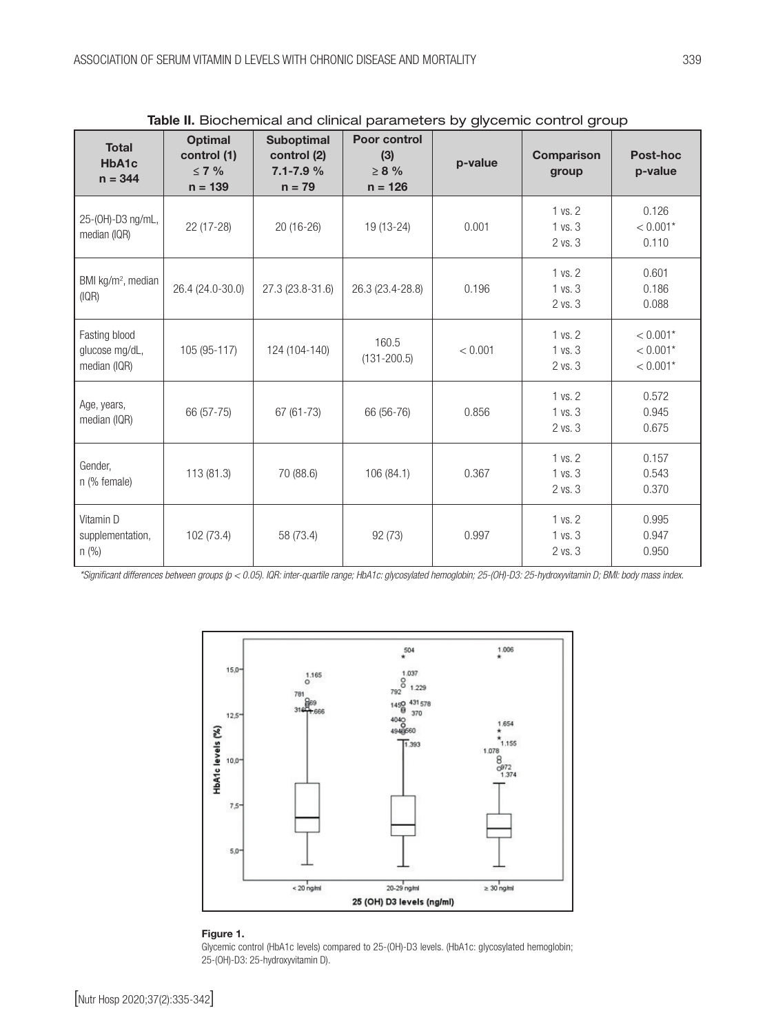| <b>Total</b><br>HbA1c<br>$n = 344$              | <b>Optimal</b><br>control (1)<br>$\leq 7$ %<br>$n = 139$ | <b>Suboptimal</b><br>control (2)<br>$7.1 - 7.9%$<br>$n = 79$ | Poor control<br>(3)<br>$\geq 8$ %<br>$n = 126$ | p-value | Comparison<br>group               | Post-hoc<br>p-value                    |
|-------------------------------------------------|----------------------------------------------------------|--------------------------------------------------------------|------------------------------------------------|---------|-----------------------------------|----------------------------------------|
| 25-(OH)-D3 ng/mL,<br>median (IQR)               | 22 (17-28)                                               | 20 (16-26)                                                   | 19 (13-24)                                     | 0.001   | 1 vs. 2<br>1 vs. 3<br>2 vs. 3     | 0.126<br>$< 0.001*$<br>0.110           |
| BMI kg/m <sup>2</sup> , median<br>(IQR)         | 26.4 (24.0-30.0)                                         | 27.3 (23.8-31.6)                                             | 26.3 (23.4-28.8)                               | 0.196   | 1 vs. 2<br>1 vs. 3<br>2 vs. 3     | 0.601<br>0.186<br>0.088                |
| Fasting blood<br>glucose mg/dL,<br>median (IQR) | 105 (95-117)                                             | 124 (104-140)                                                | 160.5<br>$(131 - 200.5)$                       | < 0.001 | $1$ vs. $2$<br>1 vs. 3<br>2 vs. 3 | $< 0.001*$<br>$< 0.001*$<br>$< 0.001*$ |
| Age, years,<br>median (IQR)                     | 66 (57-75)                                               | $67(61-73)$                                                  | 66 (56-76)                                     | 0.856   | 1 vs. 2<br>1 vs. 3<br>2 vs. 3     | 0.572<br>0.945<br>0.675                |
| Gender,<br>n (% female)                         | 113 (81.3)                                               | 70 (88.6)                                                    | 106 (84.1)                                     | 0.367   | 1 vs. 2<br>1 vs. 3<br>2 vs. 3     | 0.157<br>0.543<br>0.370                |
| Vitamin D<br>supplementation,<br>$n$ (%)        | 102 (73.4)                                               | 58 (73.4)                                                    | 92 (73)                                        | 0.997   | 1 vs. 2<br>1 vs. 3<br>2 vs. 3     | 0.995<br>0.947<br>0.950                |

Table II. Biochemical and clinical parameters by glycemic control group

*\*Significant differences between groups (p < 0.05). IQR: inter-quartile range; HbA1c: glycosylated hemoglobin; 25-(OH)-D3: 25-hydroxyvitamin D; BMI: body mass index.* 



#### Figure 1.

Glycemic control (HbA1c levels) compared to 25-(OH)-D3 levels. (HbA1c: glycosylated hemoglobin; 25-(OH)-D3: 25-hydroxyvitamin D).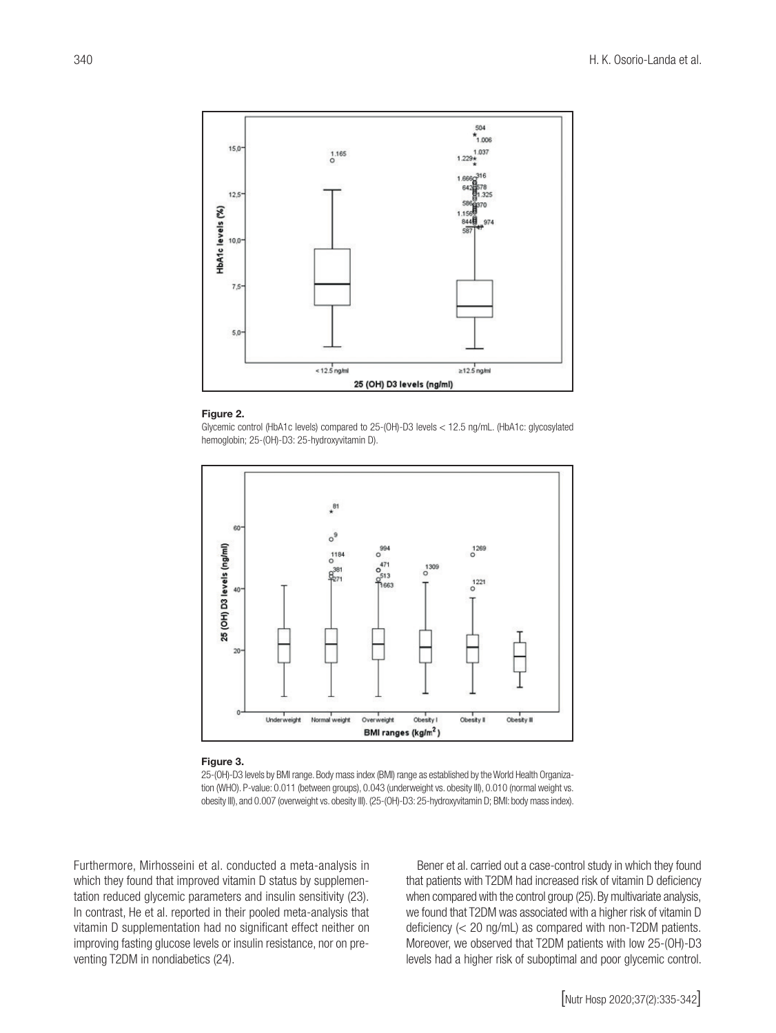

#### Figure 2.

Glycemic control (HbA1c levels) compared to 25-(OH)-D3 levels < 12.5 ng/mL. (HbA1c: glycosylated hemoglobin; 25-(OH)-D3: 25-hydroxyvitamin D).



#### Figure 3.

25-(OH)-D3 levels by BMI range. Body mass index (BMI) range as established by the World Health Organization (WHO). P-value: 0.011 (between groups), 0.043 (underweight vs. obesity III), 0.010 (normal weight vs. obesity III), and 0.007 (overweight vs. obesity III). (25-(OH)-D3: 25-hydroxyvitamin D; BMI: body mass index).

Furthermore, Mirhosseini et al. conducted a meta-analysis in which they found that improved vitamin D status by supplementation reduced glycemic parameters and insulin sensitivity (23). In contrast, He et al. reported in their pooled meta-analysis that vitamin D supplementation had no significant effect neither on improving fasting glucose levels or insulin resistance, nor on preventing T2DM in nondiabetics (24).

Bener et al. carried out a case-control study in which they found that patients with T2DM had increased risk of vitamin D deficiency when compared with the control group (25). By multivariate analysis, we found that T2DM was associated with a higher risk of vitamin D deficiency (< 20 ng/mL) as compared with non-T2DM patients. Moreover, we observed that T2DM patients with low 25-(OH)-D3 levels had a higher risk of suboptimal and poor glycemic control.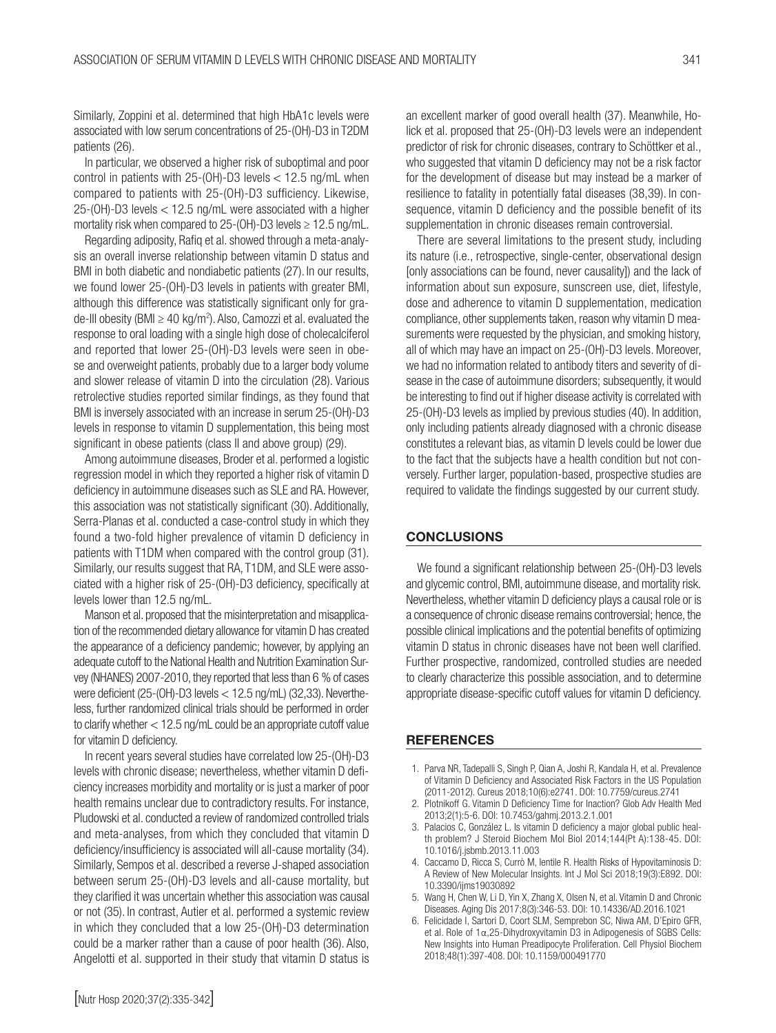Similarly, Zoppini et al. determined that high HbA1c levels were associated with low serum concentrations of 25-(OH)-D3 in T2DM patients (26).

In particular, we observed a higher risk of suboptimal and poor control in patients with  $25-(OH)-D3$  levels  $< 12.5$  ng/mL when compared to patients with 25-(OH)-D3 sufficiency. Likewise, 25-(OH)-D3 levels < 12.5 ng/mL were associated with a higher mortality risk when compared to 25-(OH)-D3 levels ≥ 12.5 ng/mL.

Regarding adiposity, Rafiq et al. showed through a meta-analysis an overall inverse relationship between vitamin D status and BMI in both diabetic and nondiabetic patients (27). In our results, we found lower 25-(OH)-D3 levels in patients with greater BMI, although this difference was statistically significant only for grade-III obesity (BMI ≥ 40 kg/m2 ). Also, Camozzi et al. evaluated the response to oral loading with a single high dose of cholecalciferol and reported that lower 25-(OH)-D3 levels were seen in obese and overweight patients, probably due to a larger body volume and slower release of vitamin D into the circulation (28). Various retrolective studies reported similar findings, as they found that BMI is inversely associated with an increase in serum 25-(OH)-D3 levels in response to vitamin D supplementation, this being most significant in obese patients (class II and above group) (29).

Among autoimmune diseases, Broder et al. performed a logistic regression model in which they reported a higher risk of vitamin D deficiency in autoimmune diseases such as SLE and RA. However, this association was not statistically significant (30). Additionally, Serra-Planas et al. conducted a case-control study in which they found a two-fold higher prevalence of vitamin D deficiency in patients with T1DM when compared with the control group (31). Similarly, our results suggest that RA, T1DM, and SLE were associated with a higher risk of 25-(OH)-D3 deficiency, specifically at levels lower than 12.5 ng/mL.

Manson et al. proposed that the misinterpretation and misapplication of the recommended dietary allowance for vitamin D has created the appearance of a deficiency pandemic; however, by applying an adequate cutoff to the National Health and Nutrition Examination Survey (NHANES) 2007-2010, they reported that less than 6 % of cases were deficient (25-(OH)-D3 levels < 12.5 ng/mL) (32,33). Nevertheless, further randomized clinical trials should be performed in order to clarify whether < 12.5 ng/mL could be an appropriate cutoff value for vitamin D deficiency.

In recent years several studies have correlated low 25-(OH)-D3 levels with chronic disease; nevertheless, whether vitamin D deficiency increases morbidity and mortality or is just a marker of poor health remains unclear due to contradictory results. For instance, Pludowski et al. conducted a review of randomized controlled trials and meta-analyses, from which they concluded that vitamin D deficiency/insufficiency is associated will all-cause mortality (34). Similarly, Sempos et al. described a reverse J-shaped association between serum 25-(OH)-D3 levels and all-cause mortality, but they clarified it was uncertain whether this association was causal or not (35). In contrast, Autier et al. performed a systemic review in which they concluded that a low 25-(OH)-D3 determination could be a marker rather than a cause of poor health (36). Also, Angelotti et al. supported in their study that vitamin D status is

an excellent marker of good overall health (37). Meanwhile, Holick et al. proposed that 25-(OH)-D3 levels were an independent predictor of risk for chronic diseases, contrary to Schöttker et al., who suggested that vitamin D deficiency may not be a risk factor for the development of disease but may instead be a marker of resilience to fatality in potentially fatal diseases (38,39). In consequence, vitamin D deficiency and the possible benefit of its supplementation in chronic diseases remain controversial.

There are several limitations to the present study, including its nature (i.e., retrospective, single-center, observational design [only associations can be found, never causality]) and the lack of information about sun exposure, sunscreen use, diet, lifestyle, dose and adherence to vitamin D supplementation, medication compliance, other supplements taken, reason why vitamin D measurements were requested by the physician, and smoking history, all of which may have an impact on 25-(OH)-D3 levels. Moreover, we had no information related to antibody titers and severity of disease in the case of autoimmune disorders; subsequently, it would be interesting to find out if higher disease activity is correlated with 25-(OH)-D3 levels as implied by previous studies (40). In addition, only including patients already diagnosed with a chronic disease constitutes a relevant bias, as vitamin D levels could be lower due to the fact that the subjects have a health condition but not conversely. Further larger, population-based, prospective studies are required to validate the findings suggested by our current study.

#### **CONCLUSIONS**

We found a significant relationship between 25-(OH)-D3 levels and glycemic control, BMI, autoimmune disease, and mortality risk. Nevertheless, whether vitamin D deficiency plays a causal role or is a consequence of chronic disease remains controversial; hence, the possible clinical implications and the potential benefits of optimizing vitamin D status in chronic diseases have not been well clarified. Further prospective, randomized, controlled studies are needed to clearly characterize this possible association, and to determine appropriate disease-specific cutoff values for vitamin D deficiency.

#### **REFERENCES**

- 1. Parva NR, Tadepalli S, Singh P, Qian A, Joshi R, Kandala H, et al. Prevalence of Vitamin D Deficiency and Associated Risk Factors in the US Population (2011-2012). Cureus 2018;10(6):e2741. DOI: 10.7759/cureus.2741
- 2. Plotnikoff G. Vitamin D Deficiency Time for Inaction? Glob Adv Health Med 2013;2(1):5-6. DOI: 10.7453/gahmj.2013.2.1.001
- 3. Palacios C, González L. Is vitamin D deficiency a major global public health problem? J Steroid Biochem Mol Biol 2014;144(Pt A):138-45. DOI: 10.1016/j.jsbmb.2013.11.003
- 4. Caccamo D, Ricca S, Currò M, Ientile R. Health Risks of Hypovitaminosis D: A Review of New Molecular Insights. Int J Mol Sci 2018;19(3):E892. DOI: 10.3390/ijms19030892
- 5. Wang H, Chen W, Li D, Yin X, Zhang X, Olsen N, et al. Vitamin D and Chronic Diseases. Aging Dis 2017;8(3):346-53. DOI: 10.14336/AD.2016.1021
- 6. Felicidade I, Sartori D, Coort SLM, Semprebon SC, Niwa AM, D'Epiro GFR, et al. Role of 1α,25-Dihydroxyvitamin D3 in Adipogenesis of SGBS Cells: New Insights into Human Preadipocyte Proliferation. Cell Physiol Biochem 2018;48(1):397-408. DOI: 10.1159/000491770